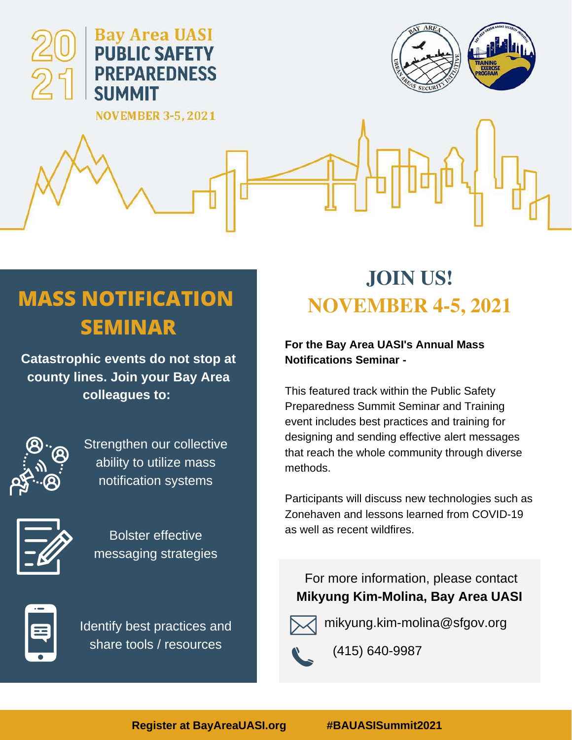

# **MASS NOTIFICATION SEMINAR**

**Catastrophic events do not stop at county lines. Join your Bay Area colleagues to:**



Strengthen our collective ability to utilize mass notification systems



Bolster effective messaging strategies



Identify best practices and share tools / resources

# **JOIN US! NOVEMBER 4-5, 2021**

## **For the Bay Area UASI's Annual Mass Notifications Seminar -**

This featured track within the Public Safety Preparedness Summit Seminar and Training event includes best practices and training for designing and sending effective alert messages that reach the whole community through diverse methods.

Participants will discuss new technologies such as Zonehaven and lessons learned from COVID-19 as well as recent wildfires.

For more information, please contact **Mikyung Kim-Molina, Bay Area UASI**



mikyung.kim-molina@sfgov.org



(415) 640-9987

**Register at BayAreaUASI.org #BAUASISummit2021**